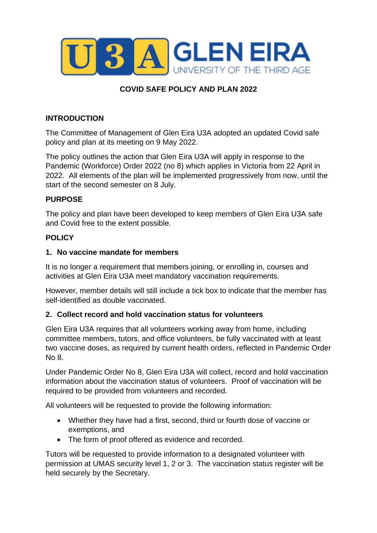

# **COVID SAFE POLICY AND PLAN 2022**

### **INTRODUCTION**

The Committee of Management of Glen Eira U3A adopted an updated Covid safe policy and plan at its meeting on 9 May 2022.

The policy outlines the action that Glen Eira U3A will apply in response to the Pandemic (Workforce) Order 2022 (no 8) which applies in Victoria from 22 April in 2022. All elements of the plan will be implemented progressively from now, until the start of the second semester on 8 July.

### **PURPOSE**

The policy and plan have been developed to keep members of Glen Eira U3A safe and Covid free to the extent possible.

## **POLICY**

#### **1. No vaccine mandate for members**

It is no longer a requirement that members joining, or enrolling in, courses and activities at Glen Eira U3A meet mandatory vaccination requirements.

However, member details will still include a tick box to indicate that the member has self-identified as double vaccinated.

### **2. Collect record and hold vaccination status for volunteers**

Glen Eira U3A requires that all volunteers working away from home, including committee members, tutors, and office volunteers, be fully vaccinated with at least two vaccine doses, as required by current health orders, reflected in Pandemic Order No 8.

Under Pandemic Order No 8, Glen Eira U3A will collect, record and hold vaccination information about the vaccination status of volunteers. Proof of vaccination will be required to be provided from volunteers and recorded.

All volunteers will be requested to provide the following information:

- Whether they have had a first, second, third or fourth dose of vaccine or exemptions, and
- The form of proof offered as evidence and recorded.

Tutors will be requested to provide information to a designated volunteer with permission at UMAS security level 1, 2 or 3. The vaccination status register will be held securely by the Secretary.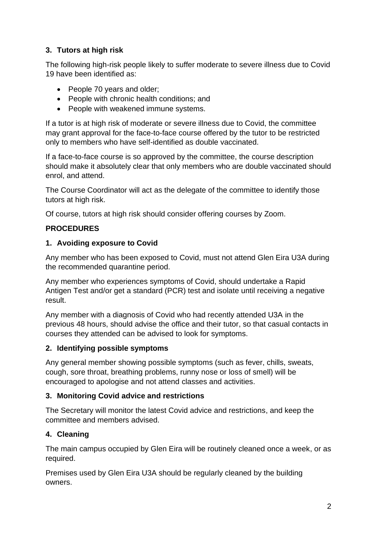## **3. Tutors at high risk**

The following high-risk people likely to suffer moderate to severe illness due to Covid 19 have been identified as:

- People 70 years and older;
- People with chronic health conditions; and
- People with weakened immune systems.

If a tutor is at high risk of moderate or severe illness due to Covid, the committee may grant approval for the face-to-face course offered by the tutor to be restricted only to members who have self-identified as double vaccinated.

If a face-to-face course is so approved by the committee, the course description should make it absolutely clear that only members who are double vaccinated should enrol, and attend.

The Course Coordinator will act as the delegate of the committee to identify those tutors at high risk.

Of course, tutors at high risk should consider offering courses by Zoom.

## **PROCEDURES**

### **1. Avoiding exposure to Covid**

Any member who has been exposed to Covid, must not attend Glen Eira U3A during the recommended quarantine period.

Any member who experiences symptoms of Covid, should undertake a Rapid Antigen Test and/or get a standard (PCR) test and isolate until receiving a negative result.

Any member with a diagnosis of Covid who had recently attended U3A in the previous 48 hours, should advise the office and their tutor, so that casual contacts in courses they attended can be advised to look for symptoms.

### **2. Identifying possible symptoms**

Any general member showing possible symptoms (such as fever, chills, sweats, cough, sore throat, breathing problems, runny nose or loss of smell) will be encouraged to apologise and not attend classes and activities.

### **3. Monitoring Covid advice and restrictions**

The Secretary will monitor the latest Covid advice and restrictions, and keep the committee and members advised.

## **4. Cleaning**

The main campus occupied by Glen Eira will be routinely cleaned once a week, or as required.

Premises used by Glen Eira U3A should be regularly cleaned by the building owners.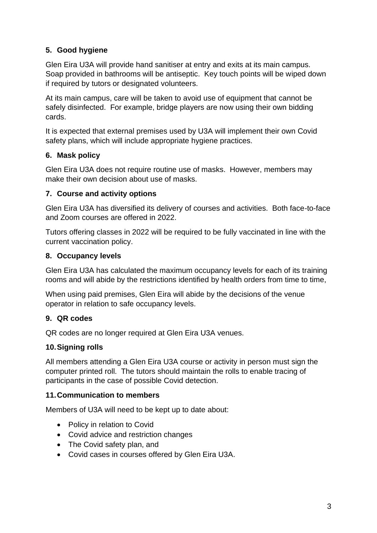## **5. Good hygiene**

Glen Eira U3A will provide hand sanitiser at entry and exits at its main campus. Soap provided in bathrooms will be antiseptic. Key touch points will be wiped down if required by tutors or designated volunteers.

At its main campus, care will be taken to avoid use of equipment that cannot be safely disinfected. For example, bridge players are now using their own bidding cards.

It is expected that external premises used by U3A will implement their own Covid safety plans, which will include appropriate hygiene practices.

## **6. Mask policy**

Glen Eira U3A does not require routine use of masks. However, members may make their own decision about use of masks.

## **7. Course and activity options**

Glen Eira U3A has diversified its delivery of courses and activities. Both face-to-face and Zoom courses are offered in 2022.

Tutors offering classes in 2022 will be required to be fully vaccinated in line with the current vaccination policy.

## **8. Occupancy levels**

Glen Eira U3A has calculated the maximum occupancy levels for each of its training rooms and will abide by the restrictions identified by health orders from time to time,

When using paid premises, Glen Eira will abide by the decisions of the venue operator in relation to safe occupancy levels.

## **9. QR codes**

QR codes are no longer required at Glen Eira U3A venues.

## **10.Signing rolls**

All members attending a Glen Eira U3A course or activity in person must sign the computer printed roll. The tutors should maintain the rolls to enable tracing of participants in the case of possible Covid detection.

### **11.Communication to members**

Members of U3A will need to be kept up to date about:

- Policy in relation to Covid
- Covid advice and restriction changes
- The Covid safety plan, and
- Covid cases in courses offered by Glen Eira U3A.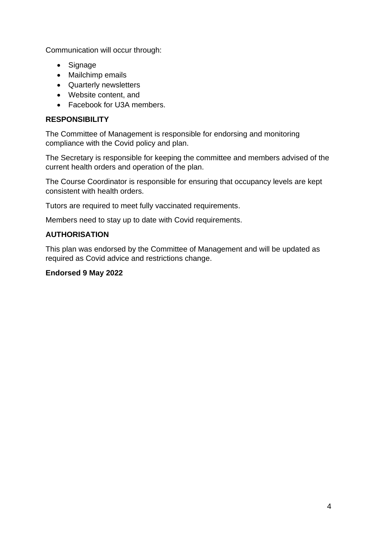Communication will occur through:

- Signage
- Mailchimp emails
- Quarterly newsletters
- Website content, and
- Facebook for U3A members.

## **RESPONSIBILITY**

The Committee of Management is responsible for endorsing and monitoring compliance with the Covid policy and plan.

The Secretary is responsible for keeping the committee and members advised of the current health orders and operation of the plan.

The Course Coordinator is responsible for ensuring that occupancy levels are kept consistent with health orders.

Tutors are required to meet fully vaccinated requirements.

Members need to stay up to date with Covid requirements.

## **AUTHORISATION**

This plan was endorsed by the Committee of Management and will be updated as required as Covid advice and restrictions change.

### **Endorsed 9 May 2022**